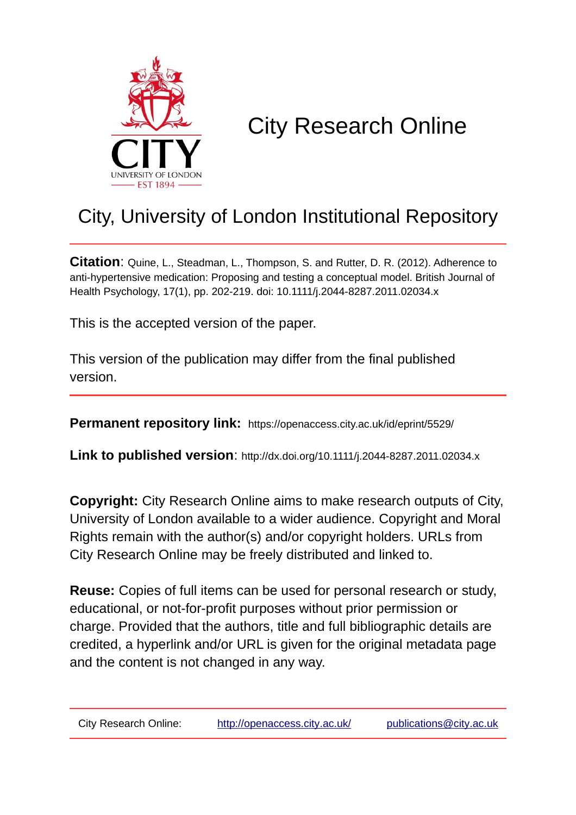

# City Research Online

# City, University of London Institutional Repository

**Citation**: Quine, L., Steadman, L., Thompson, S. and Rutter, D. R. (2012). Adherence to anti-hypertensive medication: Proposing and testing a conceptual model. British Journal of Health Psychology, 17(1), pp. 202-219. doi: 10.1111/j.2044-8287.2011.02034.x

This is the accepted version of the paper.

This version of the publication may differ from the final published version.

**Permanent repository link:** https://openaccess.city.ac.uk/id/eprint/5529/

**Link to published version**: http://dx.doi.org/10.1111/j.2044-8287.2011.02034.x

**Copyright:** City Research Online aims to make research outputs of City, University of London available to a wider audience. Copyright and Moral Rights remain with the author(s) and/or copyright holders. URLs from City Research Online may be freely distributed and linked to.

**Reuse:** Copies of full items can be used for personal research or study, educational, or not-for-profit purposes without prior permission or charge. Provided that the authors, title and full bibliographic details are credited, a hyperlink and/or URL is given for the original metadata page and the content is not changed in any way.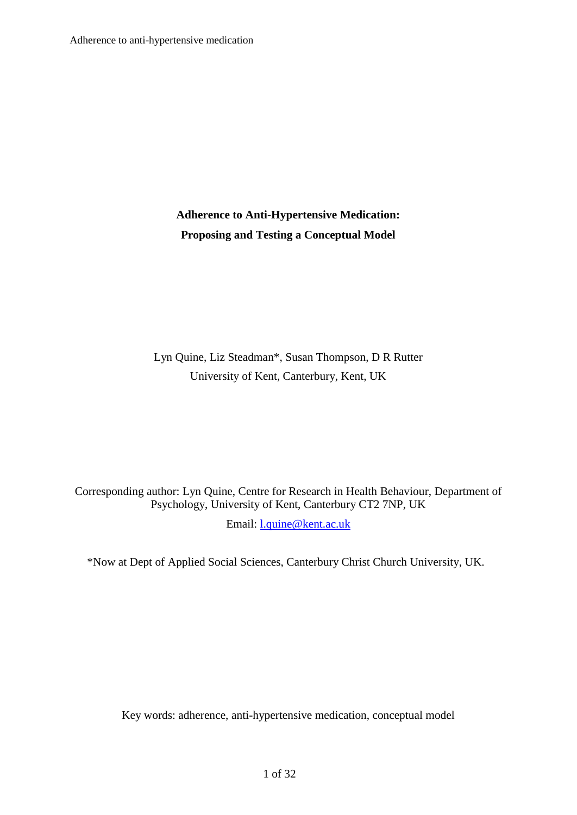# **Adherence to Anti-Hypertensive Medication: Proposing and Testing a Conceptual Model**

Lyn Quine, Liz Steadman\*, Susan Thompson, D R Rutter University of Kent, Canterbury, Kent, UK

Corresponding author: Lyn Quine, Centre for Research in Health Behaviour, Department of Psychology, University of Kent, Canterbury CT2 7NP, UK Email: [l.quine@kent.ac.uk](mailto:l.quine@kent.ac.uk)

\*Now at Dept of Applied Social Sciences, Canterbury Christ Church University, UK.

Key words: adherence, anti-hypertensive medication, conceptual model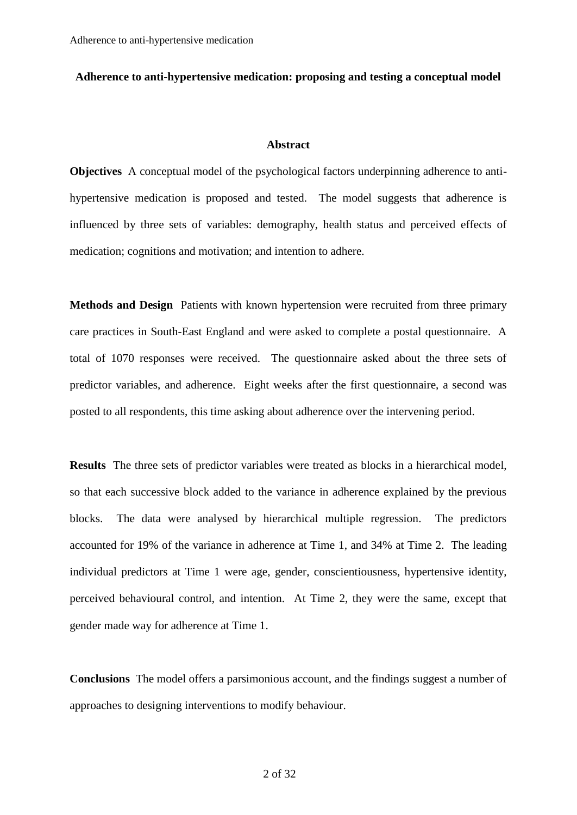#### **Adherence to anti-hypertensive medication: proposing and testing a conceptual model**

# **Abstract**

**Objectives** A conceptual model of the psychological factors underpinning adherence to antihypertensive medication is proposed and tested. The model suggests that adherence is influenced by three sets of variables: demography, health status and perceived effects of medication; cognitions and motivation; and intention to adhere.

**Methods and Design** Patients with known hypertension were recruited from three primary care practices in South-East England and were asked to complete a postal questionnaire. A total of 1070 responses were received. The questionnaire asked about the three sets of predictor variables, and adherence. Eight weeks after the first questionnaire, a second was posted to all respondents, this time asking about adherence over the intervening period.

**Results** The three sets of predictor variables were treated as blocks in a hierarchical model, so that each successive block added to the variance in adherence explained by the previous blocks. The data were analysed by hierarchical multiple regression. The predictors accounted for 19% of the variance in adherence at Time 1, and 34% at Time 2. The leading individual predictors at Time 1 were age, gender, conscientiousness, hypertensive identity, perceived behavioural control, and intention. At Time 2, they were the same, except that gender made way for adherence at Time 1.

**Conclusions** The model offers a parsimonious account, and the findings suggest a number of approaches to designing interventions to modify behaviour.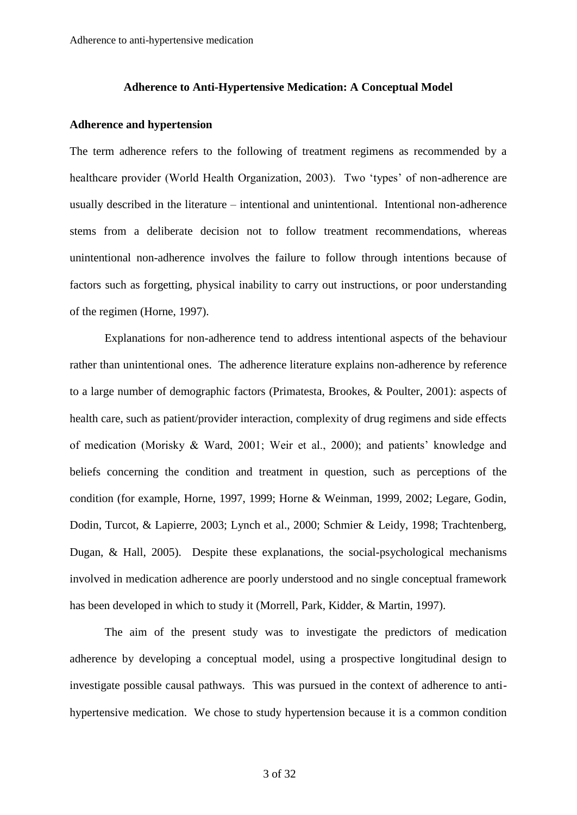#### **Adherence to Anti-Hypertensive Medication: A Conceptual Model**

# **Adherence and hypertension**

The term adherence refers to the following of treatment regimens as recommended by a healthcare provider (World Health Organization, 2003). Two 'types' of non-adherence are usually described in the literature – intentional and unintentional. Intentional non-adherence stems from a deliberate decision not to follow treatment recommendations, whereas unintentional non-adherence involves the failure to follow through intentions because of factors such as forgetting, physical inability to carry out instructions, or poor understanding of the regimen (Horne, 1997).

Explanations for non-adherence tend to address intentional aspects of the behaviour rather than unintentional ones. The adherence literature explains non-adherence by reference to a large number of demographic factors (Primatesta, Brookes, & Poulter, 2001): aspects of health care, such as patient/provider interaction, complexity of drug regimens and side effects of medication (Morisky & Ward, 2001; Weir et al., 2000); and patients' knowledge and beliefs concerning the condition and treatment in question, such as perceptions of the condition (for example, Horne, 1997, 1999; Horne & Weinman, 1999, 2002; Legare, Godin, Dodin, Turcot, & Lapierre, 2003; Lynch et al., 2000; Schmier & Leidy, 1998; Trachtenberg, Dugan, & Hall, 2005). Despite these explanations, the social-psychological mechanisms involved in medication adherence are poorly understood and no single conceptual framework has been developed in which to study it (Morrell, Park, Kidder, & Martin, 1997).

The aim of the present study was to investigate the predictors of medication adherence by developing a conceptual model, using a prospective longitudinal design to investigate possible causal pathways. This was pursued in the context of adherence to antihypertensive medication. We chose to study hypertension because it is a common condition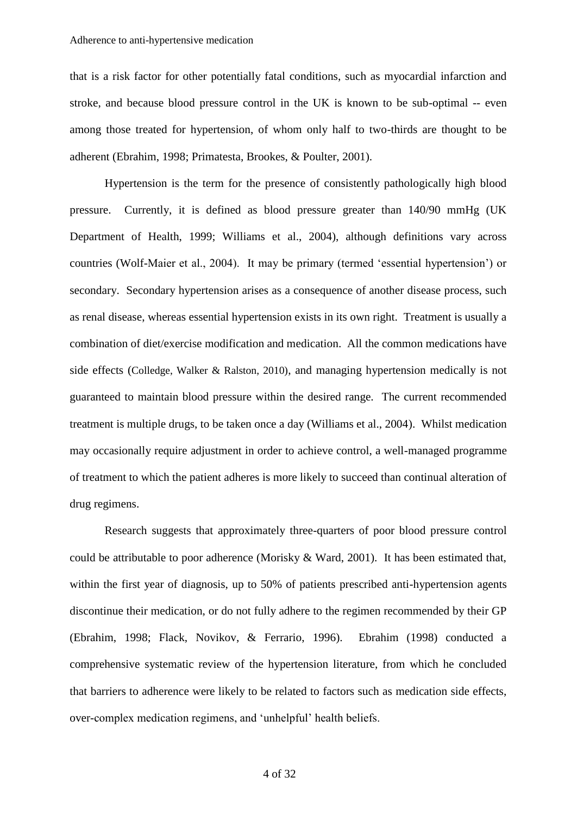that is a risk factor for other potentially fatal conditions, such as myocardial infarction and stroke, and because blood pressure control in the UK is known to be sub-optimal -- even among those treated for hypertension, of whom only half to two-thirds are thought to be adherent (Ebrahim, 1998; Primatesta, Brookes, & Poulter, 2001).

Hypertension is the term for the presence of consistently pathologically high blood pressure. Currently, it is defined as blood pressure greater than 140/90 mmHg (UK Department of Health, 1999; Williams et al., 2004), although definitions vary across countries (Wolf-Maier et al., 2004). It may be primary (termed 'essential hypertension') or secondary. Secondary hypertension arises as a consequence of another disease process, such as renal disease, whereas essential hypertension exists in its own right. Treatment is usually a combination of diet/exercise modification and medication. All the common medications have side effects (Colledge, Walker & Ralston, 2010), and managing hypertension medically is not guaranteed to maintain blood pressure within the desired range. The current recommended treatment is multiple drugs, to be taken once a day (Williams et al., 2004). Whilst medication may occasionally require adjustment in order to achieve control, a well-managed programme of treatment to which the patient adheres is more likely to succeed than continual alteration of drug regimens.

Research suggests that approximately three-quarters of poor blood pressure control could be attributable to poor adherence (Morisky & Ward, 2001). It has been estimated that, within the first year of diagnosis, up to 50% of patients prescribed anti-hypertension agents discontinue their medication, or do not fully adhere to the regimen recommended by their GP (Ebrahim, 1998; Flack, Novikov, & Ferrario, 1996). Ebrahim (1998) conducted a comprehensive systematic review of the hypertension literature, from which he concluded that barriers to adherence were likely to be related to factors such as medication side effects, over-complex medication regimens, and 'unhelpful' health beliefs.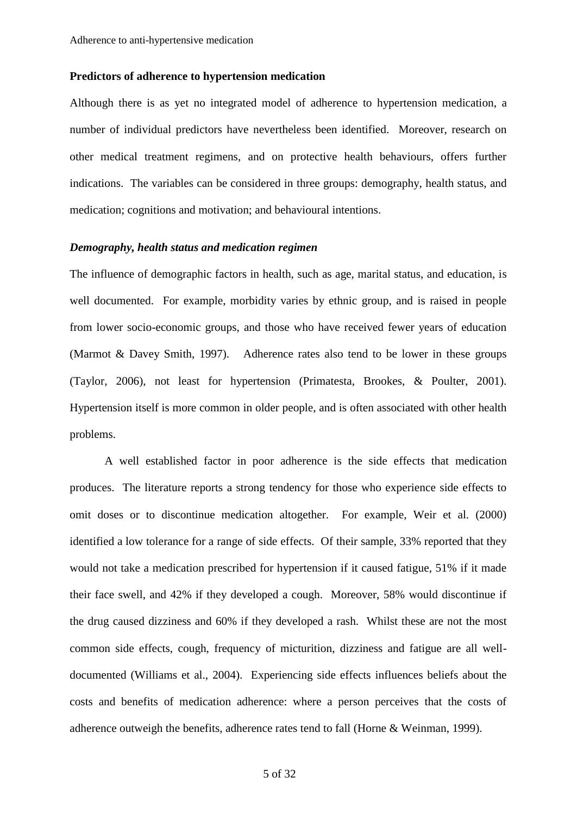#### **Predictors of adherence to hypertension medication**

Although there is as yet no integrated model of adherence to hypertension medication, a number of individual predictors have nevertheless been identified. Moreover, research on other medical treatment regimens, and on protective health behaviours, offers further indications. The variables can be considered in three groups: demography, health status, and medication; cognitions and motivation; and behavioural intentions.

## *Demography, health status and medication regimen*

The influence of demographic factors in health, such as age, marital status, and education, is well documented. For example, morbidity varies by ethnic group, and is raised in people from lower socio-economic groups, and those who have received fewer years of education (Marmot & Davey Smith, 1997). Adherence rates also tend to be lower in these groups (Taylor, 2006), not least for hypertension (Primatesta, Brookes, & Poulter, 2001). Hypertension itself is more common in older people, and is often associated with other health problems.

A well established factor in poor adherence is the side effects that medication produces. The literature reports a strong tendency for those who experience side effects to omit doses or to discontinue medication altogether. For example, Weir et al. (2000) identified a low tolerance for a range of side effects. Of their sample, 33% reported that they would not take a medication prescribed for hypertension if it caused fatigue, 51% if it made their face swell, and 42% if they developed a cough. Moreover, 58% would discontinue if the drug caused dizziness and 60% if they developed a rash. Whilst these are not the most common side effects, cough, frequency of micturition, dizziness and fatigue are all welldocumented (Williams et al., 2004). Experiencing side effects influences beliefs about the costs and benefits of medication adherence: where a person perceives that the costs of adherence outweigh the benefits, adherence rates tend to fall (Horne & Weinman, 1999).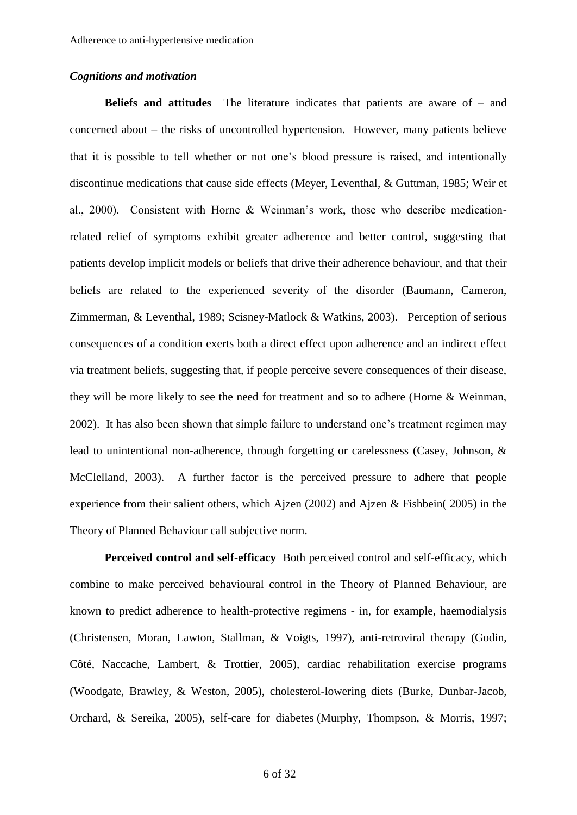# *Cognitions and motivation*

**Beliefs and attitudes** The literature indicates that patients are aware of – and concerned about – the risks of uncontrolled hypertension. However, many patients believe that it is possible to tell whether or not one's blood pressure is raised, and intentionally discontinue medications that cause side effects (Meyer, Leventhal, & Guttman, 1985; Weir et al., 2000). Consistent with Horne & Weinman's work, those who describe medicationrelated relief of symptoms exhibit greater adherence and better control, suggesting that patients develop implicit models or beliefs that drive their adherence behaviour, and that their beliefs are related to the experienced severity of the disorder (Baumann, Cameron, Zimmerman, & Leventhal, 1989; Scisney-Matlock & Watkins, 2003). Perception of serious consequences of a condition exerts both a direct effect upon adherence and an indirect effect via treatment beliefs, suggesting that, if people perceive severe consequences of their disease, they will be more likely to see the need for treatment and so to adhere (Horne & Weinman, 2002). It has also been shown that simple failure to understand one's treatment regimen may lead to unintentional non-adherence, through forgetting or carelessness (Casey, Johnson, & McClelland, 2003). A further factor is the perceived pressure to adhere that people experience from their salient others, which Ajzen (2002) and Ajzen & Fishbein( 2005) in the Theory of Planned Behaviour call subjective norm.

**Perceived control and self-efficacy** Both perceived control and self-efficacy, which combine to make perceived behavioural control in the Theory of Planned Behaviour, are known to predict adherence to health-protective regimens - in, for example, haemodialysis (Christensen, Moran, Lawton, Stallman, & Voigts, 1997), anti-retroviral therapy (Godin, Côté, Naccache, Lambert, & Trottier, 2005), cardiac rehabilitation exercise programs (Woodgate, Brawley, & Weston, 2005), cholesterol-lowering diets (Burke, Dunbar-Jacob, Orchard, & Sereika, 2005), self-care for diabetes (Murphy, Thompson, & Morris, 1997;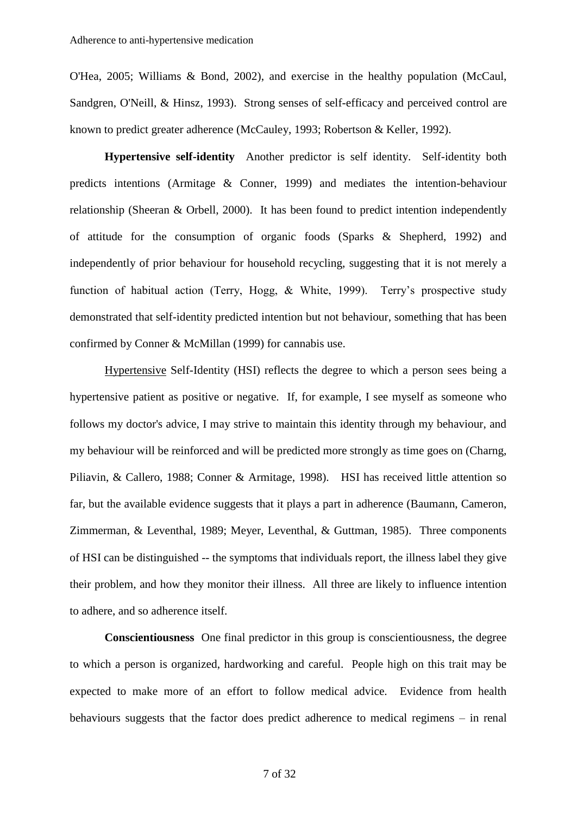O'Hea, 2005; Williams & Bond, 2002), and exercise in the healthy population (McCaul, Sandgren, O'Neill, & Hinsz, 1993). Strong senses of self-efficacy and perceived control are known to predict greater adherence (McCauley, 1993; Robertson & Keller, 1992).

**Hypertensive self-identity** Another predictor is self identity. Self-identity both predicts intentions (Armitage & Conner, 1999) and mediates the intention-behaviour relationship (Sheeran & Orbell, 2000). It has been found to predict intention independently of attitude for the consumption of organic foods (Sparks & Shepherd, 1992) and independently of prior behaviour for household recycling, suggesting that it is not merely a function of habitual action (Terry, Hogg, & White, 1999). Terry's prospective study demonstrated that self-identity predicted intention but not behaviour, something that has been confirmed by Conner & McMillan (1999) for cannabis use.

Hypertensive Self-Identity (HSI) reflects the degree to which a person sees being a hypertensive patient as positive or negative. If, for example, I see myself as someone who follows my doctor's advice, I may strive to maintain this identity through my behaviour, and my behaviour will be reinforced and will be predicted more strongly as time goes on (Charng, Piliavin, & Callero, 1988; Conner & Armitage, 1998). HSI has received little attention so far, but the available evidence suggests that it plays a part in adherence (Baumann, Cameron, Zimmerman, & Leventhal, 1989; Meyer, Leventhal, & Guttman, 1985). Three components of HSI can be distinguished -- the symptoms that individuals report, the illness label they give their problem, and how they monitor their illness. All three are likely to influence intention to adhere, and so adherence itself.

**Conscientiousness** One final predictor in this group is conscientiousness, the degree to which a person is organized, hardworking and careful. People high on this trait may be expected to make more of an effort to follow medical advice. Evidence from health behaviours suggests that the factor does predict adherence to medical regimens – in renal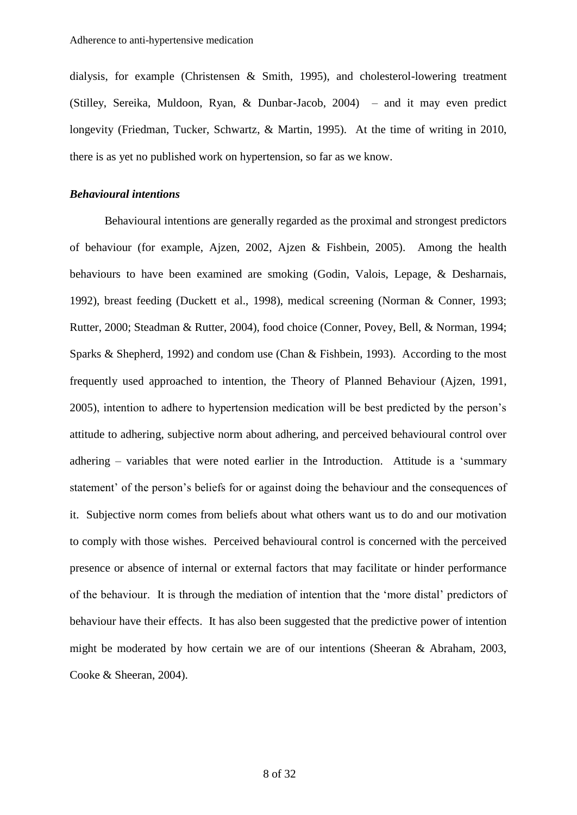dialysis, for example (Christensen & Smith, 1995), and cholesterol-lowering treatment (Stilley, Sereika, Muldoon, Ryan, & Dunbar-Jacob, 2004) – and it may even predict longevity (Friedman, Tucker, Schwartz, & Martin, 1995). At the time of writing in 2010, there is as yet no published work on hypertension, so far as we know.

# *Behavioural intentions*

Behavioural intentions are generally regarded as the proximal and strongest predictors of behaviour (for example, Ajzen, 2002, Ajzen & Fishbein, 2005). Among the health behaviours to have been examined are smoking (Godin, Valois, Lepage, & Desharnais, 1992), breast feeding (Duckett et al., 1998), medical screening (Norman & Conner, 1993; Rutter, 2000; Steadman & Rutter, 2004), food choice (Conner, Povey, Bell, & Norman, 1994; Sparks & Shepherd, 1992) and condom use (Chan & Fishbein, 1993). According to the most frequently used approached to intention, the Theory of Planned Behaviour (Ajzen, 1991, 2005), intention to adhere to hypertension medication will be best predicted by the person's attitude to adhering, subjective norm about adhering, and perceived behavioural control over adhering – variables that were noted earlier in the Introduction. Attitude is a 'summary statement' of the person's beliefs for or against doing the behaviour and the consequences of it. Subjective norm comes from beliefs about what others want us to do and our motivation to comply with those wishes. Perceived behavioural control is concerned with the perceived presence or absence of internal or external factors that may facilitate or hinder performance of the behaviour. It is through the mediation of intention that the 'more distal' predictors of behaviour have their effects. It has also been suggested that the predictive power of intention might be moderated by how certain we are of our intentions (Sheeran & Abraham, 2003, Cooke & Sheeran, 2004).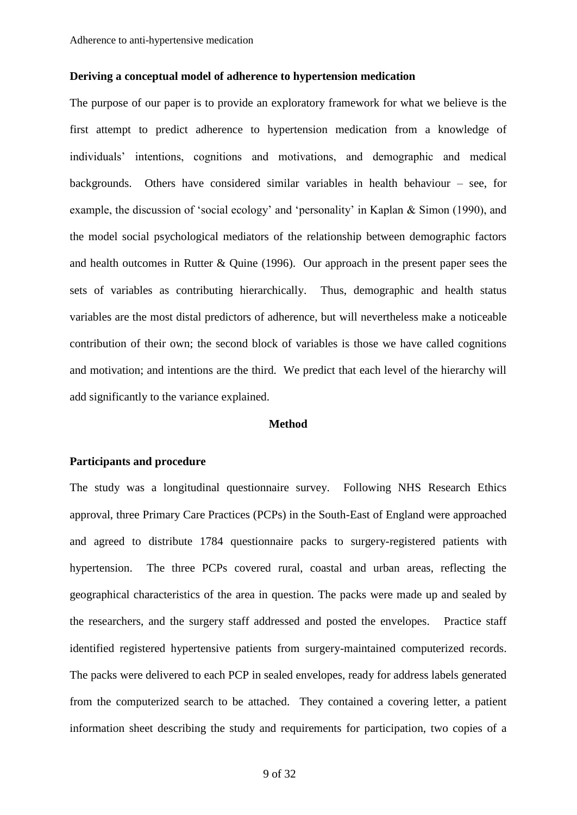# **Deriving a conceptual model of adherence to hypertension medication**

The purpose of our paper is to provide an exploratory framework for what we believe is the first attempt to predict adherence to hypertension medication from a knowledge of individuals' intentions, cognitions and motivations, and demographic and medical backgrounds. Others have considered similar variables in health behaviour – see, for example, the discussion of 'social ecology' and 'personality' in Kaplan & Simon (1990), and the model social psychological mediators of the relationship between demographic factors and health outcomes in Rutter & Quine (1996). Our approach in the present paper sees the sets of variables as contributing hierarchically. Thus, demographic and health status variables are the most distal predictors of adherence, but will nevertheless make a noticeable contribution of their own; the second block of variables is those we have called cognitions and motivation; and intentions are the third. We predict that each level of the hierarchy will add significantly to the variance explained.

#### **Method**

# **Participants and procedure**

The study was a longitudinal questionnaire survey. Following NHS Research Ethics approval, three Primary Care Practices (PCPs) in the South-East of England were approached and agreed to distribute 1784 questionnaire packs to surgery-registered patients with hypertension. The three PCPs covered rural, coastal and urban areas, reflecting the geographical characteristics of the area in question. The packs were made up and sealed by the researchers, and the surgery staff addressed and posted the envelopes. Practice staff identified registered hypertensive patients from surgery-maintained computerized records. The packs were delivered to each PCP in sealed envelopes, ready for address labels generated from the computerized search to be attached. They contained a covering letter, a patient information sheet describing the study and requirements for participation, two copies of a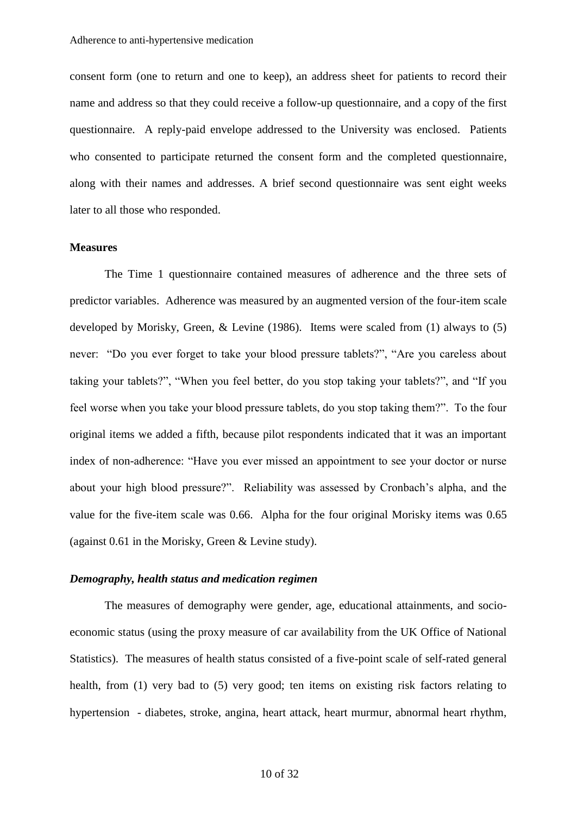consent form (one to return and one to keep), an address sheet for patients to record their name and address so that they could receive a follow-up questionnaire, and a copy of the first questionnaire. A reply-paid envelope addressed to the University was enclosed. Patients who consented to participate returned the consent form and the completed questionnaire, along with their names and addresses. A brief second questionnaire was sent eight weeks later to all those who responded.

#### **Measures**

The Time 1 questionnaire contained measures of adherence and the three sets of predictor variables. Adherence was measured by an augmented version of the four-item scale developed by Morisky, Green, & Levine (1986). Items were scaled from (1) always to (5) never: "Do you ever forget to take your blood pressure tablets?", "Are you careless about taking your tablets?", "When you feel better, do you stop taking your tablets?", and "If you feel worse when you take your blood pressure tablets, do you stop taking them?". To the four original items we added a fifth, because pilot respondents indicated that it was an important index of non-adherence: "Have you ever missed an appointment to see your doctor or nurse about your high blood pressure?". Reliability was assessed by Cronbach's alpha, and the value for the five-item scale was 0.66. Alpha for the four original Morisky items was 0.65 (against 0.61 in the Morisky, Green & Levine study).

#### *Demography, health status and medication regimen*

The measures of demography were gender, age, educational attainments, and socioeconomic status (using the proxy measure of car availability from the UK Office of National Statistics). The measures of health status consisted of a five-point scale of self-rated general health, from (1) very bad to (5) very good; ten items on existing risk factors relating to hypertension - diabetes, stroke, angina, heart attack, heart murmur, abnormal heart rhythm,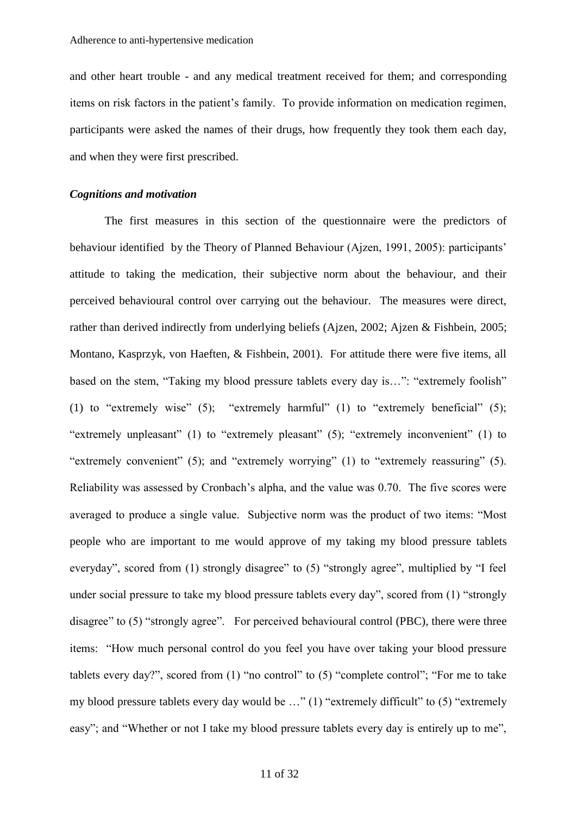and other heart trouble - and any medical treatment received for them; and corresponding items on risk factors in the patient's family. To provide information on medication regimen, participants were asked the names of their drugs, how frequently they took them each day, and when they were first prescribed.

# *Cognitions and motivation*

The first measures in this section of the questionnaire were the predictors of behaviour identified by the Theory of Planned Behaviour (Ajzen, 1991, 2005): participants' attitude to taking the medication, their subjective norm about the behaviour, and their perceived behavioural control over carrying out the behaviour. The measures were direct, rather than derived indirectly from underlying beliefs (Ajzen, 2002; Ajzen & Fishbein, 2005; Montano, Kasprzyk, von Haeften, & Fishbein, 2001). For attitude there were five items, all based on the stem, "Taking my blood pressure tablets every day is…": "extremely foolish" (1) to "extremely wise" (5); "extremely harmful" (1) to "extremely beneficial" (5); "extremely unpleasant" (1) to "extremely pleasant" (5); "extremely inconvenient" (1) to "extremely convenient" (5); and "extremely worrying" (1) to "extremely reassuring" (5). Reliability was assessed by Cronbach's alpha, and the value was 0.70. The five scores were averaged to produce a single value. Subjective norm was the product of two items: "Most people who are important to me would approve of my taking my blood pressure tablets everyday", scored from (1) strongly disagree" to (5) "strongly agree", multiplied by "I feel under social pressure to take my blood pressure tablets every day", scored from (1) "strongly disagree" to (5) "strongly agree". For perceived behavioural control (PBC), there were three items: "How much personal control do you feel you have over taking your blood pressure tablets every day?", scored from  $(1)$  "no control" to  $(5)$  "complete control"; "For me to take my blood pressure tablets every day would be …" (1) "extremely difficult" to (5) "extremely easy"; and "Whether or not I take my blood pressure tablets every day is entirely up to me",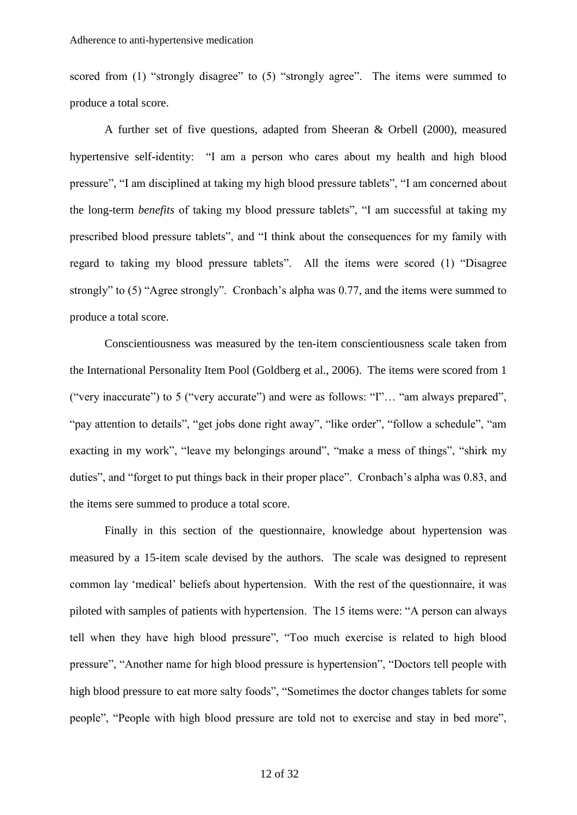scored from (1) "strongly disagree" to (5) "strongly agree". The items were summed to produce a total score.

A further set of five questions, adapted from Sheeran & Orbell (2000), measured hypertensive self-identity: "I am a person who cares about my health and high blood pressure", "I am disciplined at taking my high blood pressure tablets", "I am concerned about the long-term *benefits* of taking my blood pressure tablets", "I am successful at taking my prescribed blood pressure tablets", and "I think about the consequences for my family with regard to taking my blood pressure tablets". All the items were scored (1) "Disagree strongly" to (5) "Agree strongly". Cronbach's alpha was 0.77, and the items were summed to produce a total score.

Conscientiousness was measured by the ten-item conscientiousness scale taken from the International Personality Item Pool (Goldberg et al., 2006). The items were scored from 1 ("very inaccurate") to 5 ("very accurate") and were as follows: "I"… "am always prepared", "pay attention to details", "get jobs done right away", "like order", "follow a schedule", "am exacting in my work", "leave my belongings around", "make a mess of things", "shirk my duties", and "forget to put things back in their proper place". Cronbach's alpha was 0.83, and the items sere summed to produce a total score.

Finally in this section of the questionnaire, knowledge about hypertension was measured by a 15-item scale devised by the authors. The scale was designed to represent common lay 'medical' beliefs about hypertension. With the rest of the questionnaire, it was piloted with samples of patients with hypertension. The 15 items were: "A person can always tell when they have high blood pressure", "Too much exercise is related to high blood pressure", "Another name for high blood pressure is hypertension", "Doctors tell people with high blood pressure to eat more salty foods", "Sometimes the doctor changes tablets for some people", "People with high blood pressure are told not to exercise and stay in bed more",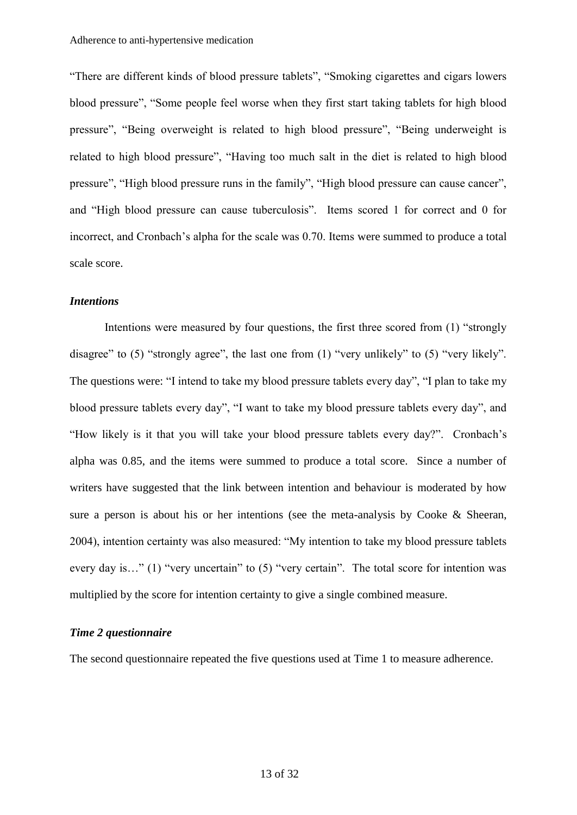"There are different kinds of blood pressure tablets", "Smoking cigarettes and cigars lowers blood pressure", "Some people feel worse when they first start taking tablets for high blood pressure", "Being overweight is related to high blood pressure", "Being underweight is related to high blood pressure", "Having too much salt in the diet is related to high blood pressure", "High blood pressure runs in the family", "High blood pressure can cause cancer", and "High blood pressure can cause tuberculosis". Items scored 1 for correct and 0 for incorrect, and Cronbach's alpha for the scale was 0.70. Items were summed to produce a total scale score.

#### *Intentions*

Intentions were measured by four questions, the first three scored from (1) "strongly disagree" to (5) "strongly agree", the last one from (1) "very unlikely" to (5) "very likely". The questions were: "I intend to take my blood pressure tablets every day", "I plan to take my blood pressure tablets every day", "I want to take my blood pressure tablets every day", and "How likely is it that you will take your blood pressure tablets every day?". Cronbach's alpha was 0.85, and the items were summed to produce a total score. Since a number of writers have suggested that the link between intention and behaviour is moderated by how sure a person is about his or her intentions (see the meta-analysis by Cooke & Sheeran, 2004), intention certainty was also measured: "My intention to take my blood pressure tablets every day is…" (1) "very uncertain" to (5) "very certain". The total score for intention was multiplied by the score for intention certainty to give a single combined measure.

# *Time 2 questionnaire*

The second questionnaire repeated the five questions used at Time 1 to measure adherence.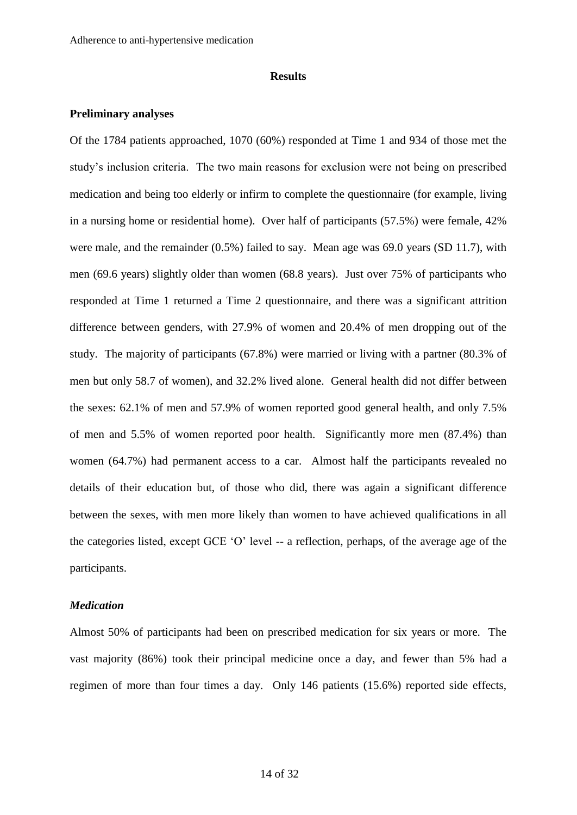#### **Results**

### **Preliminary analyses**

Of the 1784 patients approached, 1070 (60%) responded at Time 1 and 934 of those met the study's inclusion criteria. The two main reasons for exclusion were not being on prescribed medication and being too elderly or infirm to complete the questionnaire (for example, living in a nursing home or residential home). Over half of participants (57.5%) were female, 42% were male, and the remainder (0.5%) failed to say. Mean age was 69.0 years (SD 11.7), with men (69.6 years) slightly older than women (68.8 years). Just over 75% of participants who responded at Time 1 returned a Time 2 questionnaire, and there was a significant attrition difference between genders, with 27.9% of women and 20.4% of men dropping out of the study. The majority of participants (67.8%) were married or living with a partner (80.3% of men but only 58.7 of women), and 32.2% lived alone. General health did not differ between the sexes: 62.1% of men and 57.9% of women reported good general health, and only 7.5% of men and 5.5% of women reported poor health. Significantly more men (87.4%) than women (64.7%) had permanent access to a car. Almost half the participants revealed no details of their education but, of those who did, there was again a significant difference between the sexes, with men more likely than women to have achieved qualifications in all the categories listed, except GCE 'O' level -- a reflection, perhaps, of the average age of the participants.

### *Medication*

Almost 50% of participants had been on prescribed medication for six years or more. The vast majority (86%) took their principal medicine once a day, and fewer than 5% had a regimen of more than four times a day. Only 146 patients (15.6%) reported side effects,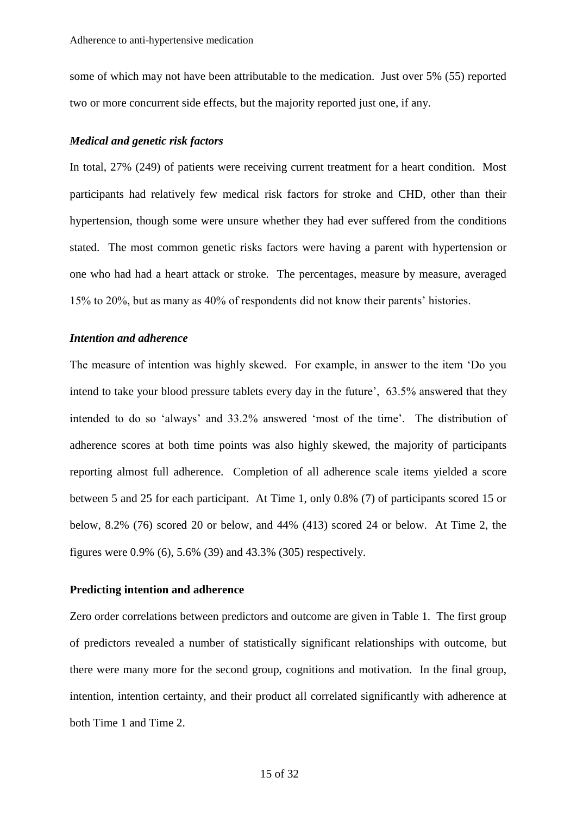some of which may not have been attributable to the medication. Just over 5% (55) reported two or more concurrent side effects, but the majority reported just one, if any.

# *Medical and genetic risk factors*

In total, 27% (249) of patients were receiving current treatment for a heart condition. Most participants had relatively few medical risk factors for stroke and CHD, other than their hypertension, though some were unsure whether they had ever suffered from the conditions stated. The most common genetic risks factors were having a parent with hypertension or one who had had a heart attack or stroke. The percentages, measure by measure, averaged 15% to 20%, but as many as 40% of respondents did not know their parents' histories.

# *Intention and adherence*

The measure of intention was highly skewed. For example, in answer to the item 'Do you intend to take your blood pressure tablets every day in the future', 63.5% answered that they intended to do so 'always' and 33.2% answered 'most of the time'. The distribution of adherence scores at both time points was also highly skewed, the majority of participants reporting almost full adherence. Completion of all adherence scale items yielded a score between 5 and 25 for each participant. At Time 1, only 0.8% (7) of participants scored 15 or below, 8.2% (76) scored 20 or below, and 44% (413) scored 24 or below. At Time 2, the figures were 0.9% (6), 5.6% (39) and 43.3% (305) respectively.

# **Predicting intention and adherence**

Zero order correlations between predictors and outcome are given in Table 1. The first group of predictors revealed a number of statistically significant relationships with outcome, but there were many more for the second group, cognitions and motivation. In the final group, intention, intention certainty, and their product all correlated significantly with adherence at both Time 1 and Time 2.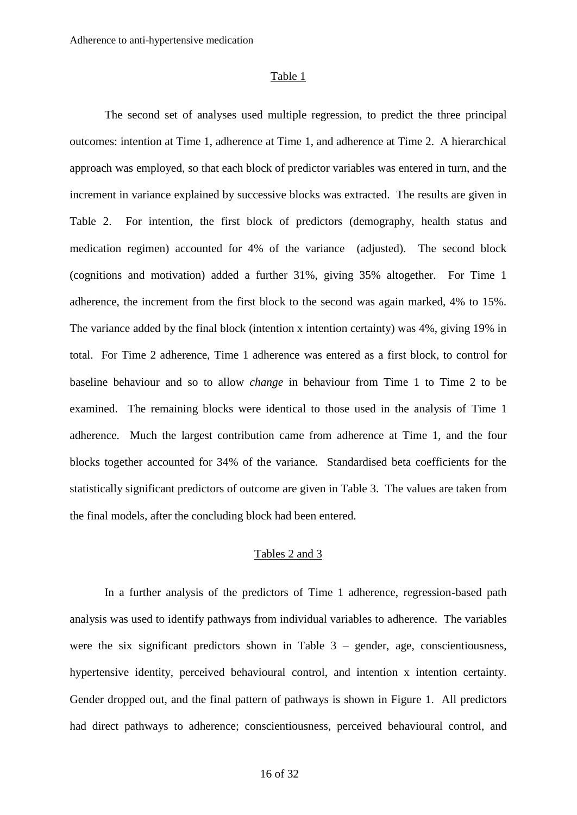#### Table 1

The second set of analyses used multiple regression, to predict the three principal outcomes: intention at Time 1, adherence at Time 1, and adherence at Time 2. A hierarchical approach was employed, so that each block of predictor variables was entered in turn, and the increment in variance explained by successive blocks was extracted. The results are given in Table 2. For intention, the first block of predictors (demography, health status and medication regimen) accounted for 4% of the variance (adjusted). The second block (cognitions and motivation) added a further 31%, giving 35% altogether. For Time 1 adherence, the increment from the first block to the second was again marked, 4% to 15%. The variance added by the final block (intention x intention certainty) was 4%, giving 19% in total. For Time 2 adherence, Time 1 adherence was entered as a first block, to control for baseline behaviour and so to allow *change* in behaviour from Time 1 to Time 2 to be examined. The remaining blocks were identical to those used in the analysis of Time 1 adherence. Much the largest contribution came from adherence at Time 1, and the four blocks together accounted for 34% of the variance. Standardised beta coefficients for the statistically significant predictors of outcome are given in Table 3. The values are taken from the final models, after the concluding block had been entered.

# Tables 2 and 3

In a further analysis of the predictors of Time 1 adherence, regression-based path analysis was used to identify pathways from individual variables to adherence. The variables were the six significant predictors shown in Table  $3$  – gender, age, conscientiousness, hypertensive identity, perceived behavioural control, and intention x intention certainty. Gender dropped out, and the final pattern of pathways is shown in Figure 1. All predictors had direct pathways to adherence; conscientiousness, perceived behavioural control, and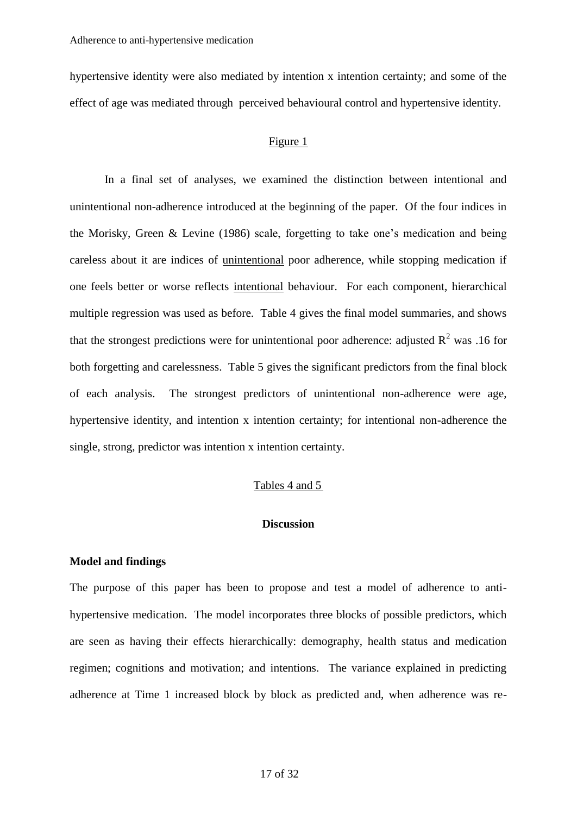hypertensive identity were also mediated by intention x intention certainty; and some of the effect of age was mediated through perceived behavioural control and hypertensive identity.

# Figure 1

In a final set of analyses, we examined the distinction between intentional and unintentional non-adherence introduced at the beginning of the paper. Of the four indices in the Morisky, Green & Levine (1986) scale, forgetting to take one's medication and being careless about it are indices of unintentional poor adherence, while stopping medication if one feels better or worse reflects intentional behaviour. For each component, hierarchical multiple regression was used as before. Table 4 gives the final model summaries, and shows that the strongest predictions were for unintentional poor adherence: adjusted  $R^2$  was .16 for both forgetting and carelessness. Table 5 gives the significant predictors from the final block of each analysis. The strongest predictors of unintentional non-adherence were age, hypertensive identity, and intention x intention certainty; for intentional non-adherence the single, strong, predictor was intention x intention certainty.

#### Tables 4 and 5

# **Discussion**

# **Model and findings**

The purpose of this paper has been to propose and test a model of adherence to antihypertensive medication. The model incorporates three blocks of possible predictors, which are seen as having their effects hierarchically: demography, health status and medication regimen; cognitions and motivation; and intentions. The variance explained in predicting adherence at Time 1 increased block by block as predicted and, when adherence was re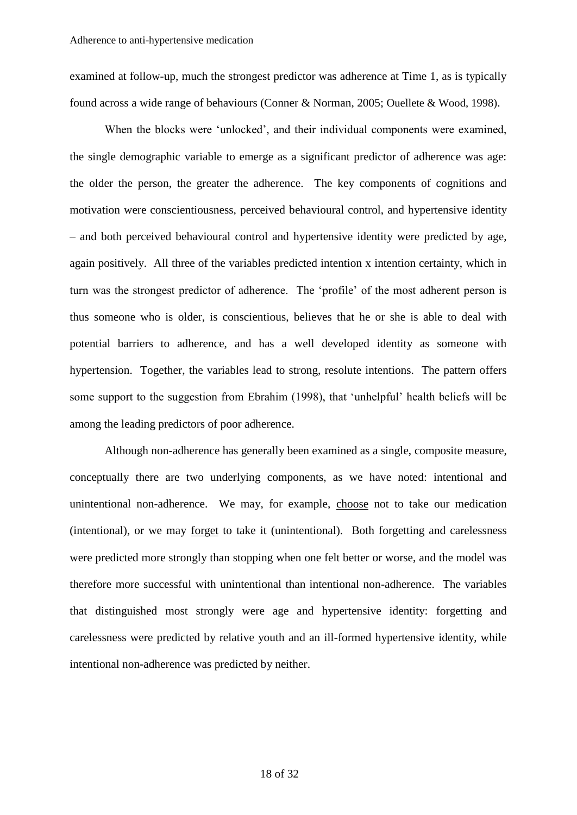examined at follow-up, much the strongest predictor was adherence at Time 1, as is typically found across a wide range of behaviours (Conner & Norman, 2005; Ouellete & Wood, 1998).

When the blocks were 'unlocked', and their individual components were examined, the single demographic variable to emerge as a significant predictor of adherence was age: the older the person, the greater the adherence. The key components of cognitions and motivation were conscientiousness, perceived behavioural control, and hypertensive identity – and both perceived behavioural control and hypertensive identity were predicted by age, again positively. All three of the variables predicted intention x intention certainty, which in turn was the strongest predictor of adherence. The 'profile' of the most adherent person is thus someone who is older, is conscientious, believes that he or she is able to deal with potential barriers to adherence, and has a well developed identity as someone with hypertension. Together, the variables lead to strong, resolute intentions. The pattern offers some support to the suggestion from Ebrahim (1998), that 'unhelpful' health beliefs will be among the leading predictors of poor adherence.

Although non-adherence has generally been examined as a single, composite measure, conceptually there are two underlying components, as we have noted: intentional and unintentional non-adherence. We may, for example, choose not to take our medication (intentional), or we may forget to take it (unintentional). Both forgetting and carelessness were predicted more strongly than stopping when one felt better or worse, and the model was therefore more successful with unintentional than intentional non-adherence. The variables that distinguished most strongly were age and hypertensive identity: forgetting and carelessness were predicted by relative youth and an ill-formed hypertensive identity, while intentional non-adherence was predicted by neither.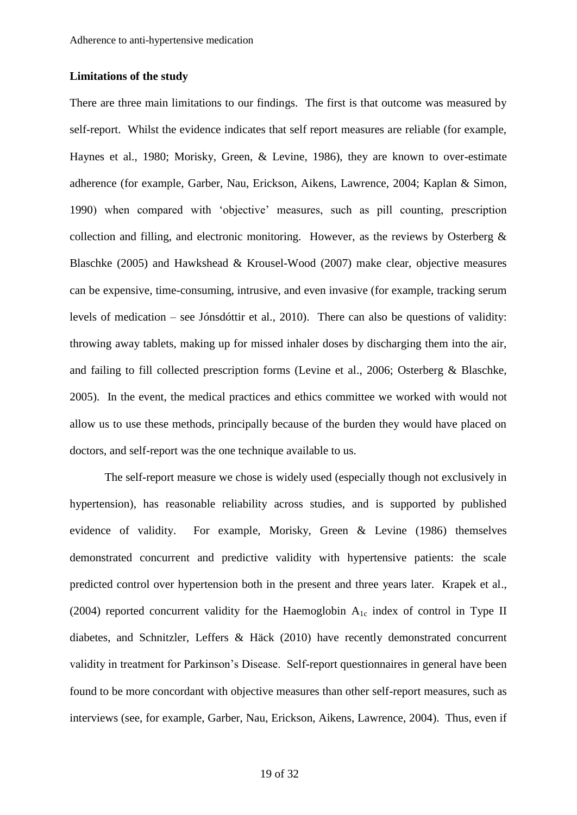# **Limitations of the study**

There are three main limitations to our findings. The first is that outcome was measured by self-report. Whilst the evidence indicates that self report measures are reliable (for example, Haynes et al., 1980; Morisky, Green, & Levine, 1986), they are known to over-estimate adherence (for example, Garber, Nau, Erickson, Aikens, Lawrence, 2004; Kaplan & Simon, 1990) when compared with 'objective' measures, such as pill counting, prescription collection and filling, and electronic monitoring. However, as the reviews by Osterberg & Blaschke (2005) and Hawkshead & Krousel-Wood (2007) make clear, objective measures can be expensive, time-consuming, intrusive, and even invasive (for example, tracking serum levels of medication – see Jónsdóttir et al., 2010). There can also be questions of validity: throwing away tablets, making up for missed inhaler doses by discharging them into the air, and failing to fill collected prescription forms (Levine et al., 2006; Osterberg & Blaschke, 2005). In the event, the medical practices and ethics committee we worked with would not allow us to use these methods, principally because of the burden they would have placed on doctors, and self-report was the one technique available to us.

The self-report measure we chose is widely used (especially though not exclusively in hypertension), has reasonable reliability across studies, and is supported by published evidence of validity. For example, Morisky, Green & Levine (1986) themselves demonstrated concurrent and predictive validity with hypertensive patients: the scale predicted control over hypertension both in the present and three years later. Krapek et al., (2004) reported concurrent validity for the Haemoglobin  $A_{1c}$  index of control in Type II diabetes, and Schnitzler, Leffers & Häck (2010) have recently demonstrated concurrent validity in treatment for Parkinson's Disease. Self-report questionnaires in general have been found to be more concordant with objective measures than other self-report measures, such as interviews (see, for example, Garber, Nau, Erickson, Aikens, Lawrence, 2004). Thus, even if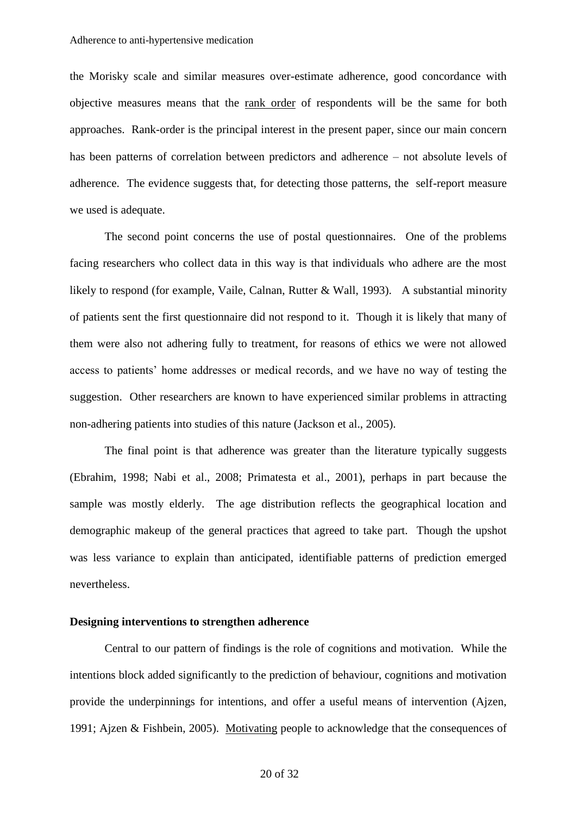the Morisky scale and similar measures over-estimate adherence, good concordance with objective measures means that the rank order of respondents will be the same for both approaches. Rank-order is the principal interest in the present paper, since our main concern has been patterns of correlation between predictors and adherence – not absolute levels of adherence. The evidence suggests that, for detecting those patterns, the self-report measure we used is adequate.

The second point concerns the use of postal questionnaires. One of the problems facing researchers who collect data in this way is that individuals who adhere are the most likely to respond (for example, Vaile, Calnan, Rutter & Wall, 1993). A substantial minority of patients sent the first questionnaire did not respond to it. Though it is likely that many of them were also not adhering fully to treatment, for reasons of ethics we were not allowed access to patients' home addresses or medical records, and we have no way of testing the suggestion. Other researchers are known to have experienced similar problems in attracting non-adhering patients into studies of this nature (Jackson et al., 2005).

The final point is that adherence was greater than the literature typically suggests (Ebrahim, 1998; Nabi et al., 2008; Primatesta et al., 2001), perhaps in part because the sample was mostly elderly. The age distribution reflects the geographical location and demographic makeup of the general practices that agreed to take part. Though the upshot was less variance to explain than anticipated, identifiable patterns of prediction emerged nevertheless.

#### **Designing interventions to strengthen adherence**

Central to our pattern of findings is the role of cognitions and motivation. While the intentions block added significantly to the prediction of behaviour, cognitions and motivation provide the underpinnings for intentions, and offer a useful means of intervention (Ajzen, 1991; Ajzen & Fishbein, 2005). Motivating people to acknowledge that the consequences of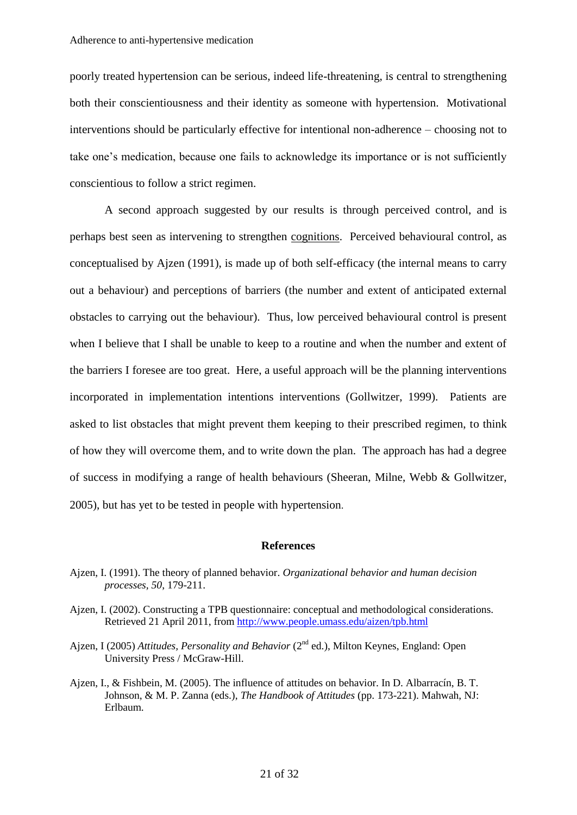poorly treated hypertension can be serious, indeed life-threatening, is central to strengthening both their conscientiousness and their identity as someone with hypertension. Motivational interventions should be particularly effective for intentional non-adherence – choosing not to take one's medication, because one fails to acknowledge its importance or is not sufficiently conscientious to follow a strict regimen.

A second approach suggested by our results is through perceived control, and is perhaps best seen as intervening to strengthen cognitions. Perceived behavioural control, as conceptualised by Ajzen (1991), is made up of both self-efficacy (the internal means to carry out a behaviour) and perceptions of barriers (the number and extent of anticipated external obstacles to carrying out the behaviour). Thus, low perceived behavioural control is present when I believe that I shall be unable to keep to a routine and when the number and extent of the barriers I foresee are too great. Here, a useful approach will be the planning interventions incorporated in implementation intentions interventions (Gollwitzer, 1999). Patients are asked to list obstacles that might prevent them keeping to their prescribed regimen, to think of how they will overcome them, and to write down the plan. The approach has had a degree of success in modifying a range of health behaviours (Sheeran, Milne, Webb & Gollwitzer, 2005), but has yet to be tested in people with hypertension.

#### **References**

- Ajzen, I. (1991). The theory of planned behavior. *Organizational behavior and human decision processes, 50*, 179-211.
- Ajzen, I. (2002). Constructing a TPB questionnaire: conceptual and methodological considerations. Retrieved 21 April 2011, from<http://www.people.umass.edu/aizen/tpb.html>
- Ajzen, I (2005) *Attitudes, Personality and Behavior* (2<sup>nd</sup> ed.), Milton Keynes, England: Open University Press / McGraw-Hill.
- Ajzen, I., & Fishbein, M. (2005). The influence of attitudes on behavior. In D. Albarracín, B. T. Johnson, & M. P. Zanna (eds.), *The Handbook of Attitudes* (pp. 173-221). Mahwah, NJ: Erlbaum.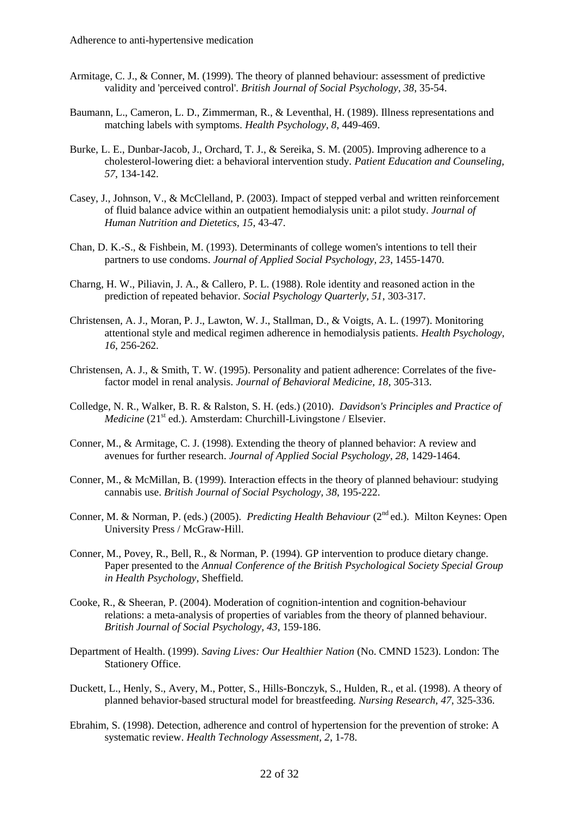- Armitage, C. J., & Conner, M. (1999). The theory of planned behaviour: assessment of predictive validity and 'perceived control'. *British Journal of Social Psychology, 38*, 35-54.
- Baumann, L., Cameron, L. D., Zimmerman, R., & Leventhal, H. (1989). Illness representations and matching labels with symptoms. *Health Psychology, 8*, 449-469.
- Burke, L. E., Dunbar-Jacob, J., Orchard, T. J., & Sereika, S. M. (2005). Improving adherence to a cholesterol-lowering diet: a behavioral intervention study. *Patient Education and Counseling, 57*, 134-142.
- Casey, J., Johnson, V., & McClelland, P. (2003). Impact of stepped verbal and written reinforcement of fluid balance advice within an outpatient hemodialysis unit: a pilot study. *Journal of Human Nutrition and Dietetics, 15*, 43-47.
- Chan, D. K.-S., & Fishbein, M. (1993). Determinants of college women's intentions to tell their partners to use condoms. *Journal of Applied Social Psychology, 23*, 1455-1470.
- Charng, H. W., Piliavin, J. A., & Callero, P. L. (1988). Role identity and reasoned action in the prediction of repeated behavior. *Social Psychology Quarterly, 51*, 303-317.
- Christensen, A. J., Moran, P. J., Lawton, W. J., Stallman, D., & Voigts, A. L. (1997). Monitoring attentional style and medical regimen adherence in hemodialysis patients. *Health Psychology, 16*, 256-262.
- Christensen, A. J., & Smith, T. W. (1995). Personality and patient adherence: Correlates of the fivefactor model in renal analysis. *Journal of Behavioral Medicine, 18*, 305-313.
- Colledge, N. R., Walker, B. R. & Ralston, S. H. (eds.) (2010). *Davidson's Principles and Practice of Medicine* (21<sup>st</sup> ed.). Amsterdam: Churchill-Livingstone / Elsevier.
- Conner, M., & Armitage, C. J. (1998). Extending the theory of planned behavior: A review and avenues for further research. *Journal of Applied Social Psychology, 28*, 1429-1464.
- Conner, M., & McMillan, B. (1999). Interaction effects in the theory of planned behaviour: studying cannabis use. *British Journal of Social Psychology, 38*, 195-222.
- Conner, M. & Norman, P. (eds.) (2005). *Predicting Health Behaviour* (2<sup>nd</sup> ed.). Milton Keynes: Open University Press / McGraw-Hill.
- Conner, M., Povey, R., Bell, R., & Norman, P. (1994). GP intervention to produce dietary change. Paper presented to the *Annual Conference of the British Psychological Society Special Group in Health Psychology*, Sheffield.
- Cooke, R., & Sheeran, P. (2004). Moderation of cognition-intention and cognition-behaviour relations: a meta-analysis of properties of variables from the theory of planned behaviour. *British Journal of Social Psychology, 43*, 159-186.
- Department of Health. (1999). *Saving Lives: Our Healthier Nation* (No. CMND 1523). London: The Stationery Office.
- Duckett, L., Henly, S., Avery, M., Potter, S., Hills-Bonczyk, S., Hulden, R., et al. (1998). A theory of planned behavior-based structural model for breastfeeding. *Nursing Research, 47*, 325-336.
- Ebrahim, S. (1998). Detection, adherence and control of hypertension for the prevention of stroke: A systematic review. *Health Technology Assessment, 2*, 1-78.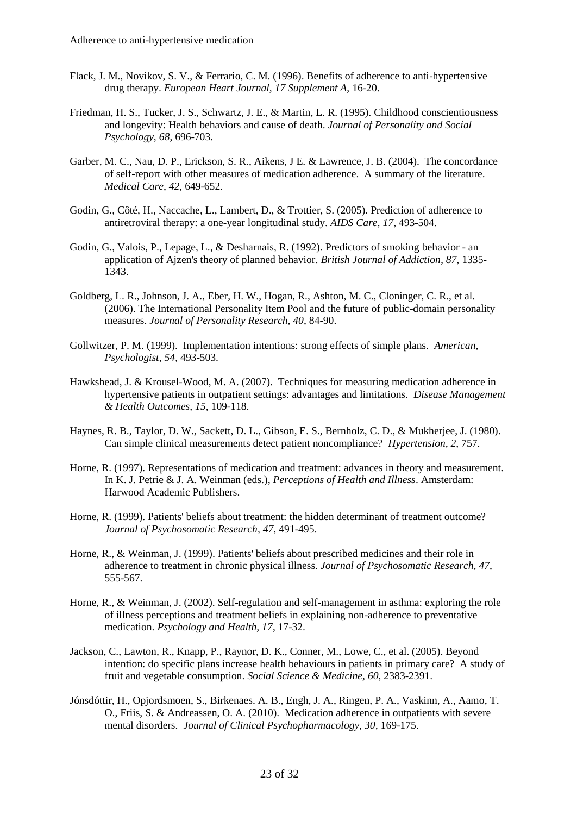- Flack, J. M., Novikov, S. V., & Ferrario, C. M. (1996). Benefits of adherence to anti-hypertensive drug therapy. *European Heart Journal, 17 Supplement A*, 16-20.
- Friedman, H. S., Tucker, J. S., Schwartz, J. E., & Martin, L. R. (1995). Childhood conscientiousness and longevity: Health behaviors and cause of death. *Journal of Personality and Social Psychology, 68*, 696-703.
- Garber, M. C., Nau, D. P., Erickson, S. R., Aikens, J E. & Lawrence, J. B. (2004). The concordance of self-report with other measures of medication adherence. A summary of the literature. *Medical Care*, *42,* 649-652.
- Godin, G., Côté, H., Naccache, L., Lambert, D., & Trottier, S. (2005). Prediction of adherence to antiretroviral therapy: a one-year longitudinal study. *AIDS Care, 17*, 493-504.
- Godin, G., Valois, P., Lepage, L., & Desharnais, R. (1992). Predictors of smoking behavior an application of Ajzen's theory of planned behavior. *British Journal of Addiction, 87*, 1335- 1343.
- Goldberg, L. R., Johnson, J. A., Eber, H. W., Hogan, R., Ashton, M. C., Cloninger, C. R., et al. (2006). The International Personality Item Pool and the future of public-domain personality measures. *Journal of Personality Research, 40*, 84-90.
- Gollwitzer, P. M. (1999). Implementation intentions: strong effects of simple plans. *American, Psychologist*, *54*, 493-503.
- Hawkshead, J. & Krousel-Wood, M. A. (2007). Techniques for measuring medication adherence in hypertensive patients in outpatient settings: advantages and limitations. *Disease Management & Health Outcomes, 15,* 109-118.
- Haynes, R. B., Taylor, D. W., Sackett, D. L., Gibson, E. S., Bernholz, C. D., & Mukherjee, J. (1980). Can simple clinical measurements detect patient noncompliance? *Hypertension, 2*, 757.
- Horne, R. (1997). Representations of medication and treatment: advances in theory and measurement. In K. J. Petrie & J. A. Weinman (eds.), *Perceptions of Health and Illness*. Amsterdam: Harwood Academic Publishers.
- Horne, R. (1999). Patients' beliefs about treatment: the hidden determinant of treatment outcome? *Journal of Psychosomatic Research, 47*, 491-495.
- Horne, R., & Weinman, J. (1999). Patients' beliefs about prescribed medicines and their role in adherence to treatment in chronic physical illness. *Journal of Psychosomatic Research, 47*, 555-567.
- Horne, R., & Weinman, J. (2002). Self-regulation and self-management in asthma: exploring the role of illness perceptions and treatment beliefs in explaining non-adherence to preventative medication. *Psychology and Health, 17*, 17-32.
- Jackson, C., Lawton, R., Knapp, P., Raynor, D. K., Conner, M., Lowe, C., et al. (2005). Beyond intention: do specific plans increase health behaviours in patients in primary care? A study of fruit and vegetable consumption. *Social Science & Medicine, 60*, 2383-2391.
- Jónsdóttir, H., Opjordsmoen, S., Birkenaes. A. B., Engh, J. A., Ringen, P. A., Vaskinn, A., Aamo, T. O., Friis, S. & Andreassen, O. A. (2010). Medication adherence in outpatients with severe mental disorders. *Journal of Clinical Psychopharmacology, 30,* 169-175.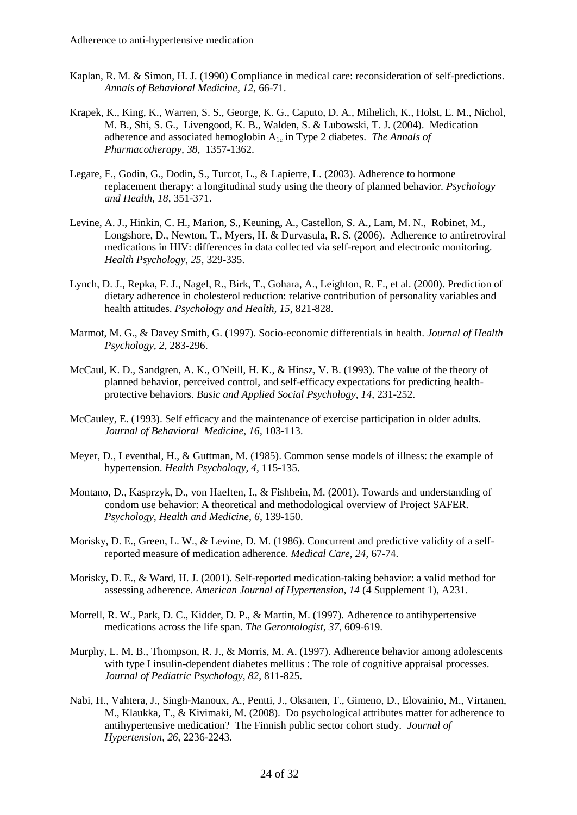- Kaplan, R. M. & Simon, H. J. (1990) Compliance in medical care: reconsideration of self-predictions. *Annals of Behavioral Medicine, 12,* 66-71.
- Krapek, K., King, K., Warren, S. S., George, K. G., Caputo, D. A., Mihelich, K., Holst, E. M., Nichol, M. B., Shi, S. G., Livengood, K. B., Walden, S. & Lubowski, T. J. (2004). Medication adherence and associated hemoglobin  $A_{1c}$  in Type 2 diabetes. *The Annals of Pharmacotherapy, 38,* 1357-1362.
- Legare, F., Godin, G., Dodin, S., Turcot, L., & Lapierre, L. (2003). Adherence to hormone replacement therapy: a longitudinal study using the theory of planned behavior. *Psychology and Health, 18*, 351-371.
- Levine, A. J., Hinkin, C. H., Marion, S., Keuning, A., Castellon, S. A., Lam, M. N., Robinet, M., Longshore, D., Newton, T., Myers, H. & Durvasula, R. S. (2006). Adherence to antiretroviral medications in HIV: differences in data collected via self-report and electronic monitoring. *Health Psychology*, *25*, 329-335.
- Lynch, D. J., Repka, F. J., Nagel, R., Birk, T., Gohara, A., Leighton, R. F., et al. (2000). Prediction of dietary adherence in cholesterol reduction: relative contribution of personality variables and health attitudes. *Psychology and Health, 15*, 821-828.
- Marmot, M. G., & Davey Smith, G. (1997). Socio-economic differentials in health. *Journal of Health Psychology, 2*, 283-296.
- McCaul, K. D., Sandgren, A. K., O'Neill, H. K., & Hinsz, V. B. (1993). The value of the theory of planned behavior, perceived control, and self-efficacy expectations for predicting healthprotective behaviors. *Basic and Applied Social Psychology, 14*, 231-252.
- McCauley, E. (1993). Self efficacy and the maintenance of exercise participation in older adults. *Journal of Behavioral Medicine, 16*, 103-113.
- Meyer, D., Leventhal, H., & Guttman, M. (1985). Common sense models of illness: the example of hypertension. *Health Psychology, 4*, 115-135.
- Montano, D., Kasprzyk, D., von Haeften, I., & Fishbein, M. (2001). Towards and understanding of condom use behavior: A theoretical and methodological overview of Project SAFER. *Psychology, Health and Medicine, 6*, 139-150.
- Morisky, D. E., Green, L. W., & Levine, D. M. (1986). Concurrent and predictive validity of a selfreported measure of medication adherence. *Medical Care, 24*, 67-74.
- Morisky, D. E., & Ward, H. J. (2001). Self-reported medication-taking behavior: a valid method for assessing adherence. *American Journal of Hypertension, 14* (4 Supplement 1), A231.
- Morrell, R. W., Park, D. C., Kidder, D. P., & Martin, M. (1997). Adherence to antihypertensive medications across the life span. *The Gerontologist, 37*, 609-619.
- Murphy, L. M. B., Thompson, R. J., & Morris, M. A. (1997). Adherence behavior among adolescents with type I insulin-dependent diabetes mellitus : The role of cognitive appraisal processes. *Journal of Pediatric Psychology, 82*, 811-825.
- Nabi, H., Vahtera, J., Singh-Manoux, A., Pentti, J., Oksanen, T., Gimeno, D., Elovainio, M., Virtanen, M., Klaukka, T., & Kivimaki, M. (2008). Do psychological attributes matter for adherence to antihypertensive medication? The Finnish public sector cohort study. *Journal of Hypertension*, *26*, 2236-2243.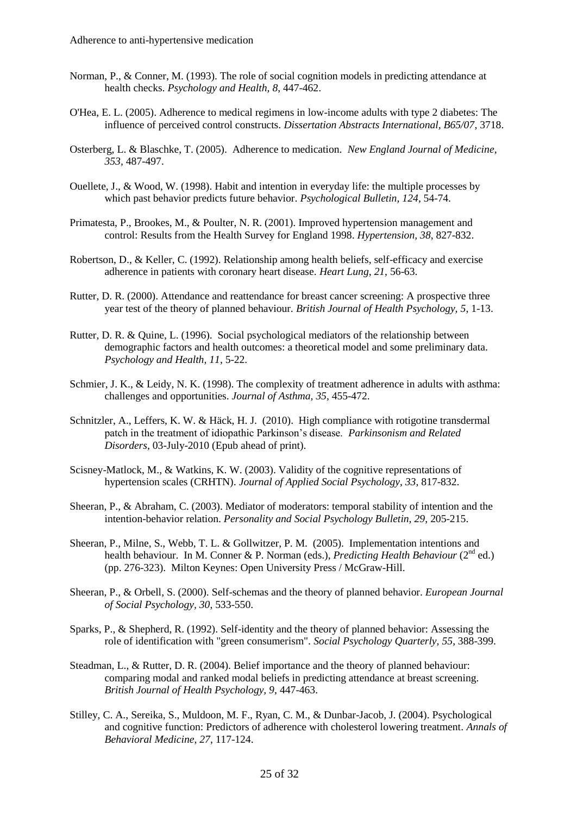- Norman, P., & Conner, M. (1993). The role of social cognition models in predicting attendance at health checks. *Psychology and Health, 8*, 447-462.
- O'Hea, E. L. (2005). Adherence to medical regimens in low-income adults with type 2 diabetes: The influence of perceived control constructs. *Dissertation Abstracts International, B65/07*, 3718.
- Osterberg, L. & Blaschke, T. (2005). Adherence to medication. *New England Journal of Medicine, 353,* 487-497.
- Ouellete, J., & Wood, W. (1998). Habit and intention in everyday life: the multiple processes by which past behavior predicts future behavior. *Psychological Bulletin, 124*, 54-74.
- Primatesta, P., Brookes, M., & Poulter, N. R. (2001). Improved hypertension management and control: Results from the Health Survey for England 1998. *Hypertension, 38*, 827-832.
- Robertson, D., & Keller, C. (1992). Relationship among health beliefs, self-efficacy and exercise adherence in patients with coronary heart disease. *Heart Lung, 21*, 56-63.
- Rutter, D. R. (2000). Attendance and reattendance for breast cancer screening: A prospective three year test of the theory of planned behaviour. *British Journal of Health Psychology, 5*, 1-13.
- Rutter, D. R. & Quine, L. (1996). Social psychological mediators of the relationship between demographic factors and health outcomes: a theoretical model and some preliminary data. *Psychology and Health, 11,* 5-22.
- Schmier, J. K., & Leidy, N. K. (1998). The complexity of treatment adherence in adults with asthma: challenges and opportunities. *Journal of Asthma, 35*, 455-472.
- Schnitzler, A., Leffers, K. W. & Häck, H. J. (2010). High compliance with rotigotine transdermal patch in the treatment of idiopathic Parkinson's disease. *Parkinsonism and Related Disorders,* 03-July-2010 (Epub ahead of print).
- Scisney-Matlock, M., & Watkins, K. W. (2003). Validity of the cognitive representations of hypertension scales (CRHTN). *Journal of Applied Social Psychology, 33*, 817-832.
- Sheeran, P., & Abraham, C. (2003). Mediator of moderators: temporal stability of intention and the intention-behavior relation. *Personality and Social Psychology Bulletin, 29*, 205-215.
- Sheeran, P., Milne, S., Webb, T. L. & Gollwitzer, P. M. (2005). Implementation intentions and health behaviour. In M. Conner & P. Norman (eds.), *Predicting Health Behaviour* (2<sup>nd</sup> ed.) (pp. 276-323). Milton Keynes: Open University Press / McGraw-Hill.
- Sheeran, P., & Orbell, S. (2000). Self-schemas and the theory of planned behavior. *European Journal of Social Psychology, 30*, 533-550.
- Sparks, P., & Shepherd, R. (1992). Self-identity and the theory of planned behavior: Assessing the role of identification with "green consumerism". *Social Psychology Quarterly, 55*, 388-399.
- Steadman, L., & Rutter, D. R. (2004). Belief importance and the theory of planned behaviour: comparing modal and ranked modal beliefs in predicting attendance at breast screening. *British Journal of Health Psychology, 9*, 447-463.
- Stilley, C. A., Sereika, S., Muldoon, M. F., Ryan, C. M., & Dunbar-Jacob, J. (2004). Psychological and cognitive function: Predictors of adherence with cholesterol lowering treatment. *Annals of Behavioral Medicine, 27*, 117-124.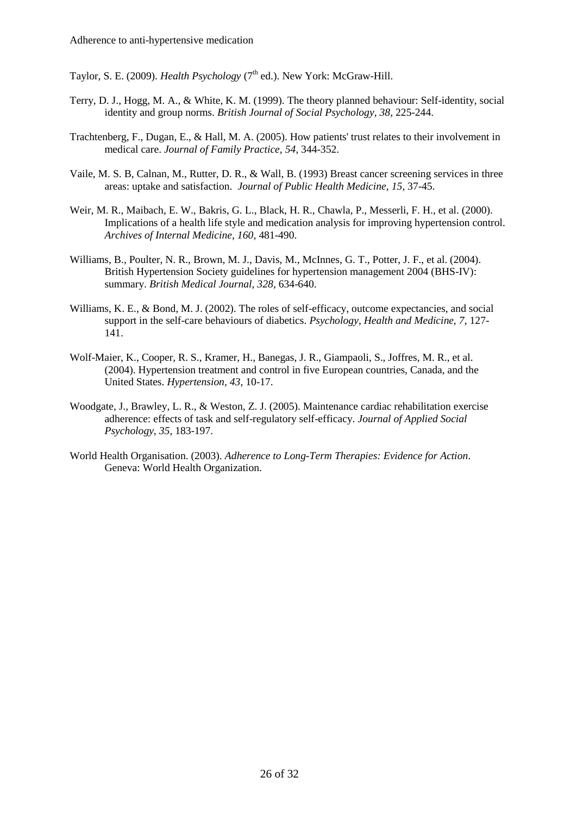Taylor, S. E. (2009). *Health Psychology* (7<sup>th</sup> ed.). New York: McGraw-Hill.

- Terry, D. J., Hogg, M. A., & White, K. M. (1999). The theory planned behaviour: Self-identity, social identity and group norms. *British Journal of Social Psychology, 38*, 225-244.
- Trachtenberg, F., Dugan, E., & Hall, M. A. (2005). How patients' trust relates to their involvement in medical care. *Journal of Family Practice, 54*, 344-352.
- Vaile, M. S. B, Calnan, M., Rutter, D. R., & Wall, B. (1993) Breast cancer screening services in three areas: uptake and satisfaction. *Journal of Public Health Medicine*, *15,* 37-45.
- Weir, M. R., Maibach, E. W., Bakris, G. L., Black, H. R., Chawla, P., Messerli, F. H., et al. (2000). Implications of a health life style and medication analysis for improving hypertension control. *Archives of Internal Medicine, 160*, 481-490.
- Williams, B., Poulter, N. R., Brown, M. J., Davis, M., McInnes, G. T., Potter, J. F., et al. (2004). British Hypertension Society guidelines for hypertension management 2004 (BHS-IV): summary. *British Medical Journal, 328*, 634-640.
- Williams, K. E., & Bond, M. J. (2002). The roles of self-efficacy, outcome expectancies, and social support in the self-care behaviours of diabetics. *Psychology, Health and Medicine, 7*, 127- 141.
- Wolf-Maier, K., Cooper, R. S., Kramer, H., Banegas, J. R., Giampaoli, S., Joffres, M. R., et al. (2004). Hypertension treatment and control in five European countries, Canada, and the United States. *Hypertension, 43*, 10-17.
- Woodgate, J., Brawley, L. R., & Weston, Z. J. (2005). Maintenance cardiac rehabilitation exercise adherence: effects of task and self-regulatory self-efficacy. *Journal of Applied Social Psychology, 35*, 183-197.
- World Health Organisation. (2003). *Adherence to Long-Term Therapies: Evidence for Action*. Geneva: World Health Organization.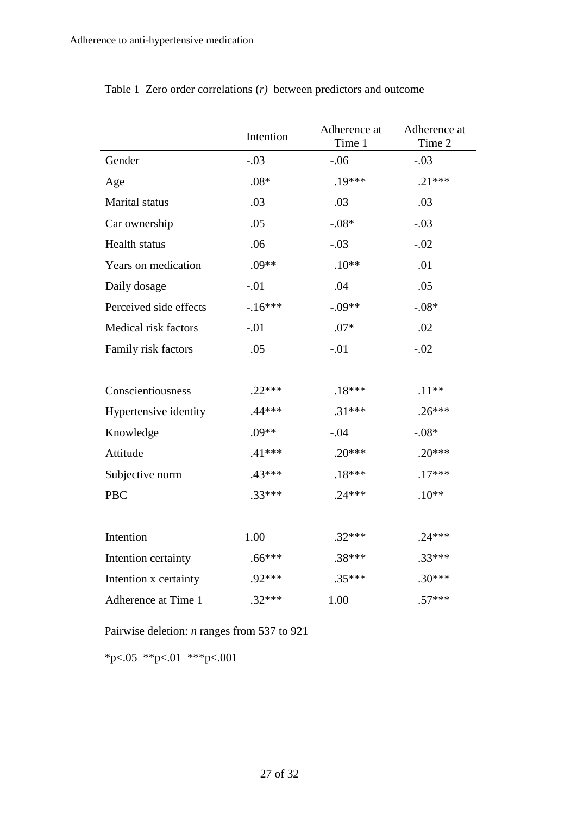|                        | Intention | Adherence at<br>Time 1 | Adherence at<br>Time 2 |
|------------------------|-----------|------------------------|------------------------|
| Gender                 | $-.03$    | $-.06$                 | $-.03$                 |
| Age                    | $.08*$    | $.19***$               | $.21***$               |
| Marital status         | .03       | .03                    | .03                    |
| Car ownership          | .05       | $-.08*$                | $-.03$                 |
| Health status          | .06       | $-.03$                 | $-.02$                 |
| Years on medication    | $.09**$   | $.10**$                | .01                    |
| Daily dosage           | $-.01$    | .04                    | .05                    |
| Perceived side effects | $-16***$  | $-.09**$               | $-.08*$                |
| Medical risk factors   | $-.01$    | $.07*$                 | .02                    |
| Family risk factors    | .05       | $-.01$                 | $-.02$                 |
|                        |           |                        |                        |
| Conscientiousness      | $.22***$  | $.18***$               | $.11**$                |
| Hypertensive identity  | $.44***$  | $.31***$               | $.26***$               |
| Knowledge              | $.09**$   | $-.04$                 | $-.08*$                |
| Attitude               | $.41***$  | $.20***$               | $.20***$               |
| Subjective norm        | $.43***$  | $.18***$               | $.17***$               |
| PBC                    | $.33***$  | $.24***$               | $.10**$                |
|                        |           |                        |                        |
| Intention              | 1.00      | $.32***$               | $.24***$               |
| Intention certainty    | $.66***$  | $.38***$               | $.33***$               |
| Intention x certainty  | .92***    | $.35***$               | $.30***$               |
| Adherence at Time 1    | $.32***$  | 1.00                   | $.57***$               |

Table 1 Zero order correlations (*r)* between predictors and outcome

Pairwise deletion: *n* ranges from 537 to 921

\*p<.05 \*\*p<.01 \*\*\*p<.001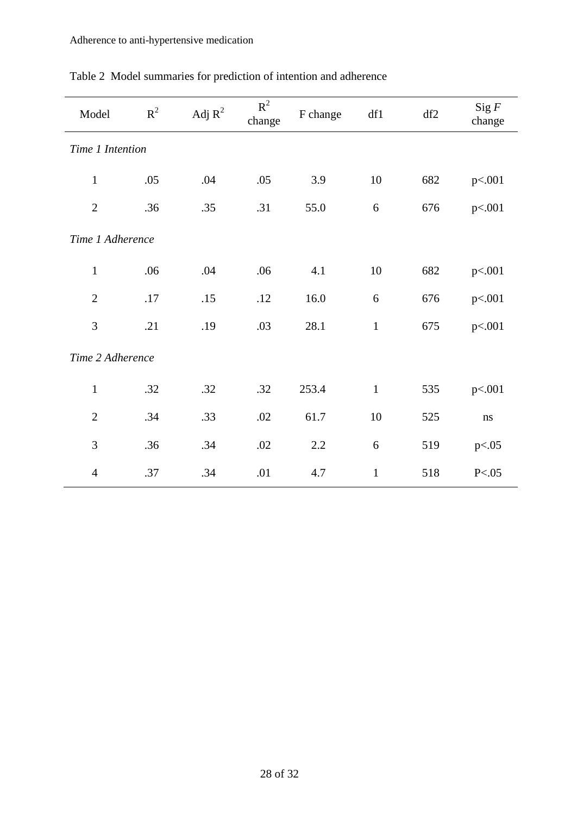| Model            | $R^2$ | Adj $R^2$ | $R^2$<br>change | F change | df1          | df2 | Sig F<br>change |  |
|------------------|-------|-----------|-----------------|----------|--------------|-----|-----------------|--|
| Time 1 Intention |       |           |                 |          |              |     |                 |  |
| $\mathbf{1}$     | .05   | .04       | .05             | 3.9      | 10           | 682 | p<.001          |  |
| $\overline{2}$   | .36   | .35       | .31             | 55.0     | 6            | 676 | p<.001          |  |
| Time 1 Adherence |       |           |                 |          |              |     |                 |  |
| $\mathbf{1}$     | .06   | .04       | .06             | 4.1      | 10           | 682 | p<.001          |  |
| $\overline{2}$   | .17   | .15       | .12             | 16.0     | 6            | 676 | p<.001          |  |
| 3                | .21   | .19       | .03             | 28.1     | $\mathbf{1}$ | 675 | p<.001          |  |
| Time 2 Adherence |       |           |                 |          |              |     |                 |  |
| $\mathbf{1}$     | .32   | .32       | .32             | 253.4    | $\mathbf{1}$ | 535 | p<.001          |  |
| $\mathbf{2}$     | .34   | .33       | .02             | 61.7     | 10           | 525 | ns              |  |
| 3                | .36   | .34       | .02             | 2.2      | 6            | 519 | p<.05           |  |
| $\overline{4}$   | .37   | .34       | .01             | 4.7      | $\mathbf{1}$ | 518 | P < .05         |  |

# Table 2 Model summaries for prediction of intention and adherence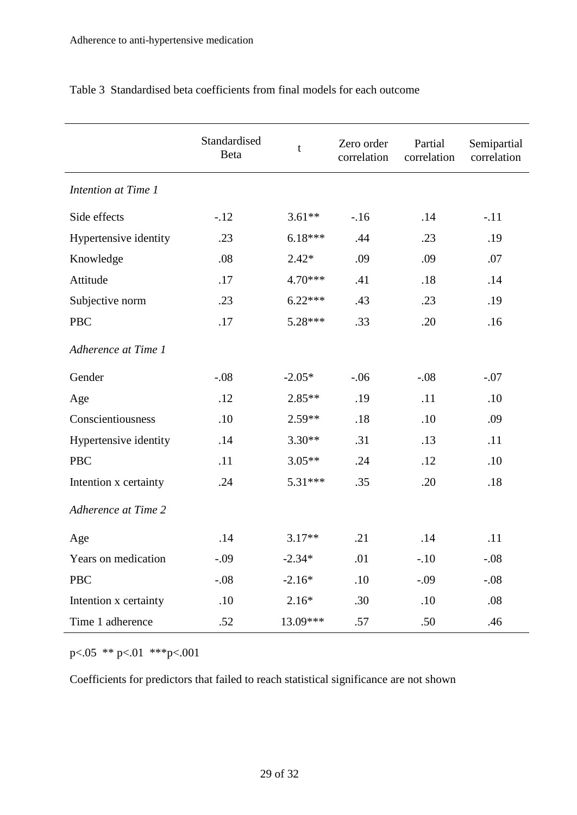|                       | Standardised<br>Beta | $\mathbf t$ | Zero order<br>correlation | Partial<br>correlation | Semipartial<br>correlation |
|-----------------------|----------------------|-------------|---------------------------|------------------------|----------------------------|
| Intention at Time 1   |                      |             |                           |                        |                            |
| Side effects          | $-12$                | $3.61**$    | $-16$                     | .14                    | $-.11$                     |
| Hypertensive identity | .23                  | $6.18***$   | .44                       | .23                    | .19                        |
| Knowledge             | .08                  | $2.42*$     | .09                       | .09                    | .07                        |
| Attitude              | .17                  | 4.70***     | .41                       | .18                    | .14                        |
| Subjective norm       | .23                  | $6.22***$   | .43                       | .23                    | .19                        |
| <b>PBC</b>            | .17                  | 5.28***     | .33                       | .20                    | .16                        |
| Adherence at Time 1   |                      |             |                           |                        |                            |
| Gender                | $-.08$               | $-2.05*$    | $-.06$                    | $-.08$                 | $-.07$                     |
| Age                   | .12                  | $2.85**$    | .19                       | .11                    | .10                        |
| Conscientiousness     | .10                  | 2.59**      | .18                       | .10                    | .09                        |
| Hypertensive identity | .14                  | $3.30**$    | .31                       | .13                    | .11                        |
| <b>PBC</b>            | .11                  | $3.05**$    | .24                       | .12                    | .10                        |
| Intention x certainty | .24                  | 5.31***     | .35                       | .20                    | .18                        |
| Adherence at Time 2   |                      |             |                           |                        |                            |
| Age                   | .14                  | $3.17**$    | .21                       | .14                    | .11                        |
| Years on medication   | $-.09$               | $-2.34*$    | .01                       | $-.10$                 | $-.08$                     |
| <b>PBC</b>            | $-.08$               | $-2.16*$    | .10                       | $-.09$                 | $-.08$                     |
| Intention x certainty | .10                  | $2.16*$     | .30                       | .10                    | .08                        |
| Time 1 adherence      | .52                  | 13.09***    | .57                       | .50                    | .46                        |

Table 3 Standardised beta coefficients from final models for each outcome

p<.05 \*\* p<.01 \*\*\*p<.001

Coefficients for predictors that failed to reach statistical significance are not shown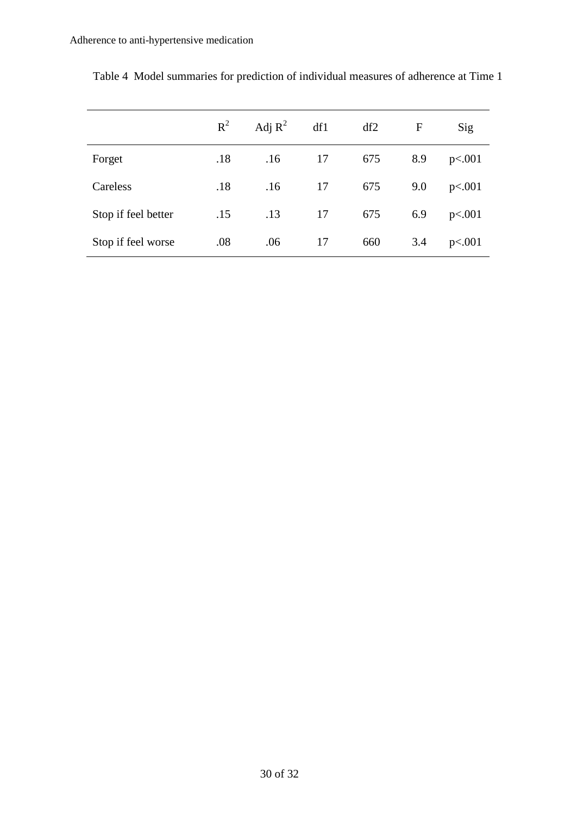|                     | $R^2$ | Adj $R^2$ | df1 | df2 | $\mathbf{F}$ | Sig    |
|---------------------|-------|-----------|-----|-----|--------------|--------|
| Forget              | .18   | .16       | 17  | 675 | 8.9          | p<.001 |
| Careless            | .18   | .16       | 17  | 675 | 9.0          | p<.001 |
| Stop if feel better | .15   | .13       | 17  | 675 | 6.9          | p<.001 |
| Stop if feel worse  | .08   | .06       | 17  | 660 | 3.4          | p<.001 |

Table 4 Model summaries for prediction of individual measures of adherence at Time 1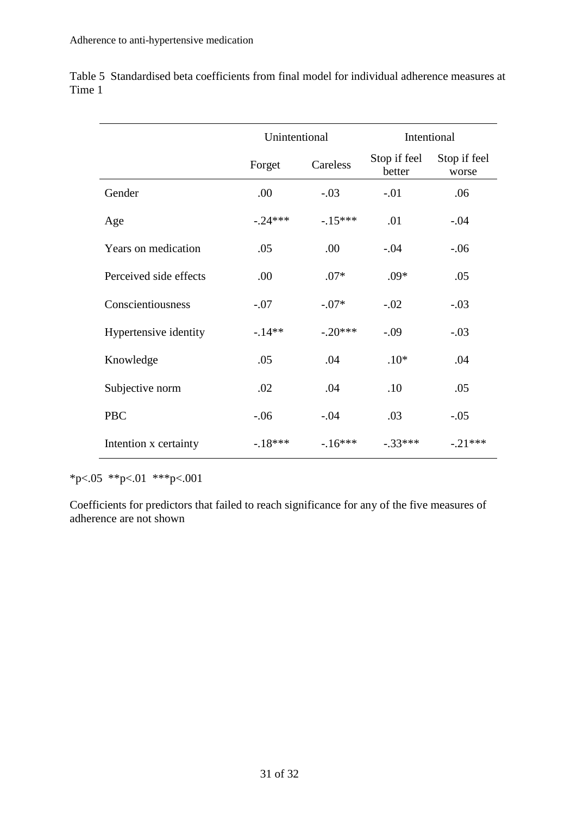|                        | Unintentional |           | Intentional            |                       |  |
|------------------------|---------------|-----------|------------------------|-----------------------|--|
|                        | Forget        | Careless  | Stop if feel<br>better | Stop if feel<br>worse |  |
| Gender                 | .00           | $-.03$    | $-.01$                 | .06                   |  |
| Age                    | $-0.24***$    | $-.15***$ | .01                    | $-.04$                |  |
| Years on medication    | .05           | .00       | $-.04$                 | $-.06$                |  |
| Perceived side effects | .00           | $.07*$    | $.09*$                 | .05                   |  |
| Conscientiousness      | $-.07$        | $-.07*$   | $-.02$                 | $-.03$                |  |
| Hypertensive identity  | $-14**$       | $-.20***$ | $-.09$                 | $-.03$                |  |
| Knowledge              | .05           | .04       | $.10*$                 | .04                   |  |
| Subjective norm        | .02           | .04       | .10                    | .05                   |  |
| <b>PBC</b>             | $-.06$        | $-.04$    | .03                    | $-.05$                |  |
| Intention x certainty  | $-18***$      | $-16***$  | $-.33***$              | $-0.21***$            |  |

Table 5 Standardised beta coefficients from final model for individual adherence measures at Time 1

\*p<.05 \*\*p<.01 \*\*\*p<.001

Coefficients for predictors that failed to reach significance for any of the five measures of adherence are not shown